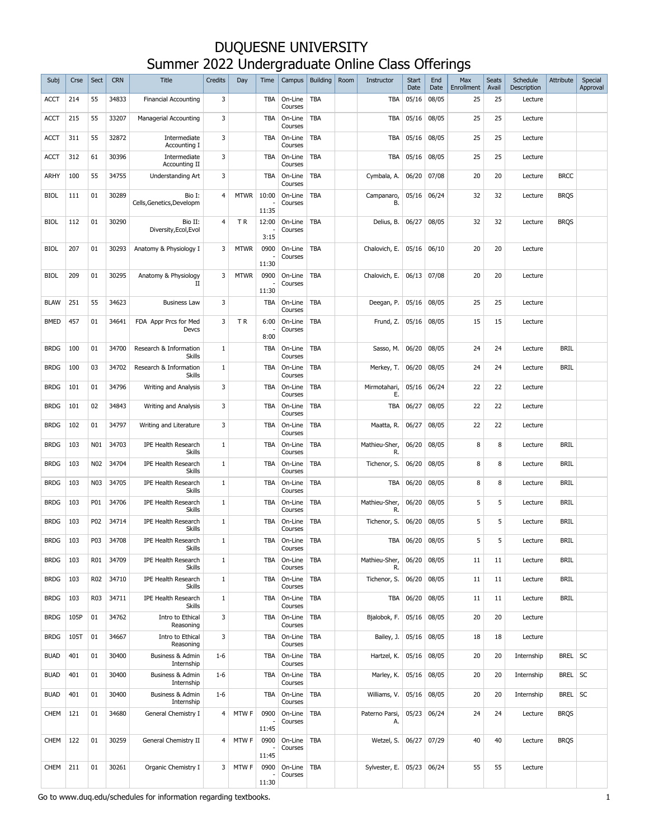| Subj        | Crse | <b>Sect</b>     | <b>CRN</b> | <b>Title</b>                                | Credits                 | Day         | Time           | Campus             | <b>Building</b> | Room | Instructor           | <b>Start</b><br>Date | End<br>Date | Max<br>Enrollment | <b>Seats</b><br>Avail | Schedule<br>Description | Attribute   | Special<br>Approval |
|-------------|------|-----------------|------------|---------------------------------------------|-------------------------|-------------|----------------|--------------------|-----------------|------|----------------------|----------------------|-------------|-------------------|-----------------------|-------------------------|-------------|---------------------|
| <b>ACCT</b> | 214  | 55              | 34833      | <b>Financial Accounting</b>                 | 3                       |             | TBA            | On-Line<br>Courses | TBA             |      | <b>TBA</b>           | 05/16                | 08/05       | 25                | 25                    | Lecture                 |             |                     |
| <b>ACCT</b> | 215  | 55              | 33207      | Managerial Accounting                       | 3                       |             | <b>TBA</b>     | On-Line<br>Courses | TBA             |      | <b>TBA</b>           | 05/16                | 08/05       | 25                | 25                    | Lecture                 |             |                     |
| <b>ACCT</b> | 311  | 55              | 32872      | Intermediate<br>Accounting I                | 3                       |             | <b>TBA</b>     | On-Line<br>Courses | TBA             |      | <b>TBA</b>           | 05/16                | 08/05       | 25                | 25                    | Lecture                 |             |                     |
| <b>ACCT</b> | 312  | 61              | 30396      | Intermediate<br>Accounting II               | 3                       |             | <b>TBA</b>     | On-Line<br>Courses | TBA             |      | <b>TBA</b>           | 05/16                | 08/05       | 25                | 25                    | Lecture                 |             |                     |
| ARHY        | 100  | 55              | 34755      | Understanding Art                           | 3                       |             | <b>TBA</b>     | On-Line<br>Courses | TBA             |      | Cymbala, A.          | 06/20                | 07/08       | 20                | 20                    | Lecture                 | <b>BRCC</b> |                     |
| <b>BIOL</b> | 111  | 01              | 30289      | Bio I:<br>Cells, Genetics, Developm         | 4                       | <b>MTWR</b> | 10:00<br>11:35 | On-Line<br>Courses | TBA             |      | Campanaro,<br>В.     | 05/16                | 06/24       | 32                | 32                    | Lecture                 | <b>BRQS</b> |                     |
| <b>BIOL</b> | 112  | 01              | 30290      | Bio II:<br>Diversity, Ecol, Evol            | 4                       | TR.         | 12:00<br>3:15  | On-Line<br>Courses | <b>TBA</b>      |      | Delius, B.           | 06/27                | 08/05       | 32                | 32                    | Lecture                 | <b>BRQS</b> |                     |
| <b>BIOL</b> | 207  | 01              | 30293      | Anatomy & Physiology I                      | 3                       | <b>MTWR</b> | 0900<br>11:30  | On-Line<br>Courses | TBA             |      | Chalovich, E.        | 05/16                | 06/10       | 20                | 20                    | Lecture                 |             |                     |
| <b>BIOL</b> | 209  | 01              | 30295      | Anatomy & Physiology<br>П                   | 3                       | <b>MTWR</b> | 0900<br>11:30  | On-Line<br>Courses | <b>TBA</b>      |      | Chalovich, E.        | 06/13                | 07/08       | 20                | 20                    | Lecture                 |             |                     |
| <b>BLAW</b> | 251  | 55              | 34623      | <b>Business Law</b>                         | 3                       |             | <b>TBA</b>     | On-Line<br>Courses | <b>TBA</b>      |      | Deegan, P.           | 05/16                | 08/05       | 25                | 25                    | Lecture                 |             |                     |
| <b>BMED</b> | 457  | 01              | 34641      | FDA Appr Prcs for Med<br>Devcs              | 3                       | TR.         | 6:00<br>8:00   | On-Line<br>Courses | TBA             |      | Frund, Z.            | 05/16                | 08/05       | 15                | 15                    | Lecture                 |             |                     |
| <b>BRDG</b> | 100  | 01              | 34700      | Research & Information<br><b>Skills</b>     | 1                       |             | TBA            | On-Line<br>Courses | <b>TBA</b>      |      | Sasso, M.            | 06/20                | 08/05       | 24                | 24                    | Lecture                 | <b>BRIL</b> |                     |
| <b>BRDG</b> | 100  | 03              | 34702      | Research & Information<br>Skills            | 1                       |             | <b>TBA</b>     | On-Line<br>Courses | <b>TBA</b>      |      | Merkey, T.           | 06/20                | 08/05       | 24                | 24                    | Lecture                 | <b>BRIL</b> |                     |
| <b>BRDG</b> | 101  | 01              | 34796      | Writing and Analysis                        | 3                       |             | <b>TBA</b>     | On-Line<br>Courses | TBA             |      | Mirmotahari,<br>Ε.   | 05/16                | 06/24       | 22                | 22                    | Lecture                 |             |                     |
| <b>BRDG</b> | 101  | 02              | 34843      | Writing and Analysis                        | 3                       |             | <b>TBA</b>     | On-Line<br>Courses | TBA             |      | TBA                  | 06/27                | 08/05       | 22                | 22                    | Lecture                 |             |                     |
| <b>BRDG</b> | 102  | 01              | 34797      | Writing and Literature                      | 3                       |             | <b>TBA</b>     | On-Line<br>Courses | <b>TBA</b>      |      | Maatta, R.           | 06/27                | 08/05       | 22                | 22                    | Lecture                 |             |                     |
| <b>BRDG</b> | 103  | N01             | 34703      | <b>IPE Health Research</b><br>Skills        | $\mathbf{1}$            |             | <b>TBA</b>     | On-Line<br>Courses | TBA             |      | Mathieu-Sher,<br>R.  | 06/20                | 08/05       | 8                 | 8                     | Lecture                 | <b>BRIL</b> |                     |
| <b>BRDG</b> | 103  | N <sub>02</sub> | 34704      | <b>IPE Health Research</b><br><b>Skills</b> | 1                       |             | <b>TBA</b>     | On-Line<br>Courses | TBA             |      | Tichenor, S.         | 06/20                | 08/05       | 8                 | 8                     | Lecture                 | <b>BRIL</b> |                     |
| <b>BRDG</b> | 103  | <b>N03</b>      | 34705      | <b>IPE Health Research</b><br>Skills        | 1                       |             | <b>TBA</b>     | On-Line<br>Courses | TBA             |      | <b>TBA</b>           | 06/20                | 08/05       | 8                 | 8                     | Lecture                 | <b>BRIL</b> |                     |
| <b>BRDG</b> | 103  | P01             | 34706      | <b>IPE Health Research</b><br><b>Skills</b> | 1                       |             | TBA            | On-Line<br>Courses | TBA             |      | Mathieu-Sher,<br>R.  | 06/20                | 08/05       | 5                 | 5                     | Lecture                 | <b>BRIL</b> |                     |
| <b>BRDG</b> | 103  | P02             | 34714      | <b>IPE Health Research</b><br><b>Skills</b> | 1                       |             | TBA            | On-Line<br>Courses | TBA             |      | Tichenor, S.         | 06/20                | 08/05       | 5                 | 5                     | Lecture                 | <b>BRIL</b> |                     |
| <b>BRDG</b> | 103  | P03             | 34708      | <b>IPE Health Research</b><br><b>Skills</b> | 1                       |             | <b>TBA</b>     | On-Line<br>Courses | TBA             |      | TBA                  | 06/20                | 08/05       | 5                 | 5                     | Lecture                 | <b>BRIL</b> |                     |
| <b>BRDG</b> | 103  | R01             | 34709      | <b>IPE Health Research</b><br><b>Skills</b> | $\mathbf{1}$            |             | TBA            | On-Line<br>Courses | TBA             |      | Mathieu-Sher,<br>R.  | 06/20                | 08/05       | 11                | 11                    | Lecture                 | <b>BRIL</b> |                     |
| <b>BRDG</b> | 103  | R02             | 34710      | <b>IPE Health Research</b><br>Skills        | $1\,$                   |             | TBA            | On-Line<br>Courses | TBA             |      | Tichenor, S.         | 06/20                | 08/05       | 11                | 11                    | Lecture                 | <b>BRIL</b> |                     |
| <b>BRDG</b> | 103  | R03             | 34711      | <b>IPE Health Research</b><br>Skills        | $\mathbf{1}$            |             | TBA            | On-Line<br>Courses | TBA             |      | <b>TBA</b>           | 06/20                | 08/05       | 11                | 11                    | Lecture                 | <b>BRIL</b> |                     |
| <b>BRDG</b> | 105P | 01              | 34762      | Intro to Ethical<br>Reasoning               | 3                       |             | <b>TBA</b>     | On-Line<br>Courses | TBA             |      | Bjalobok, F.         | 05/16                | 08/05       | 20                | 20                    | Lecture                 |             |                     |
| <b>BRDG</b> | 105T | 01              | 34667      | Intro to Ethical<br>Reasoning               | 3                       |             | <b>TBA</b>     | On-Line<br>Courses | TBA             |      | Bailey, J.           | 05/16                | 08/05       | 18                | 18                    | Lecture                 |             |                     |
| <b>BUAD</b> | 401  | 01              | 30400      | Business & Admin<br>Internship              | $1 - 6$                 |             | <b>TBA</b>     | On-Line<br>Courses | TBA             |      | Hartzel, K.          | 05/16                | 08/05       | 20                | 20                    | Internship              | BREL SC     |                     |
| <b>BUAD</b> | 401  | 01              | 30400      | Business & Admin<br>Internship              | $1 - 6$                 |             | TBA            | On-Line<br>Courses | TBA             |      | Marley, K.           | 05/16                | 08/05       | 20                | 20                    | Internship              | BREL        | <b>SC</b>           |
| <b>BUAD</b> | 401  | 01              | 30400      | Business & Admin<br>Internship              | $1 - 6$                 |             | TBA            | On-Line<br>Courses | TBA             |      | Williams, V.         | 05/16                | 08/05       | 20                | 20                    | Internship              | BREL SC     |                     |
| <b>CHEM</b> | 121  | 01              | 34680      | General Chemistry I                         | $\overline{4}$          | MTW F       | 0900<br>11:45  | On-Line<br>Courses | <b>TBA</b>      |      | Paterno Parsi,<br>А. | 05/23                | 06/24       | 24                | 24                    | Lecture                 | <b>BRQS</b> |                     |
| <b>CHEM</b> | 122  | 01              | 30259      | General Chemistry II                        | 4                       | MTW F       | 0900<br>11:45  | On-Line<br>Courses | <b>TBA</b>      |      | Wetzel, S.           | 06/27                | 07/29       | 40                | 40                    | Lecture                 | <b>BRQS</b> |                     |
| <b>CHEM</b> | 211  | 01              | 30261      | Organic Chemistry I                         | $\overline{\mathbf{3}}$ | MTW F       | 0900           | On-Line<br>Courses | <b>TBA</b>      |      | Sylvester, E.        | 05/23                | 06/24       | 55                | 55                    | Lecture                 |             |                     |
|             |      |                 |            |                                             |                         |             | 11:30          |                    |                 |      |                      |                      |             |                   |                       |                         |             |                     |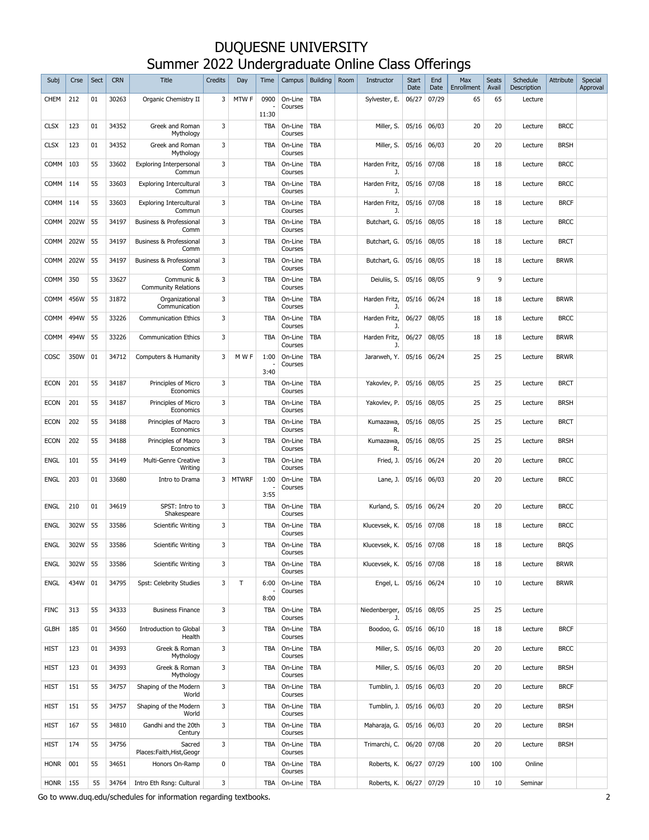| Subj        | Crse | Sect | <b>CRN</b> | <b>Title</b>                               | <b>Credits</b> | Day          | Time          | Campus             | <b>Building</b> | Room | Instructor          | <b>Start</b><br>Date | End<br>Date | Max<br>Enrollment | <b>Seats</b><br>Avail | Schedule<br>Description | Attribute   | Special<br>Approval |
|-------------|------|------|------------|--------------------------------------------|----------------|--------------|---------------|--------------------|-----------------|------|---------------------|----------------------|-------------|-------------------|-----------------------|-------------------------|-------------|---------------------|
| <b>CHEM</b> | 212  | 01   | 30263      | Organic Chemistry II                       | 3              | MTW F        | 0900<br>11:30 | On-Line<br>Courses | <b>TBA</b>      |      | Sylvester, E.       | 06/27                | 07/29       | 65                | 65                    | Lecture                 |             |                     |
| <b>CLSX</b> | 123  | 01   | 34352      | Greek and Roman<br>Mythology               | 3              |              | <b>TBA</b>    | On-Line<br>Courses | <b>TBA</b>      |      | Miller, S.          | 05/16                | 06/03       | 20                | 20                    | Lecture                 | <b>BRCC</b> |                     |
| <b>CLSX</b> | 123  | 01   | 34352      | Greek and Roman<br>Mythology               | 3              |              | <b>TBA</b>    | On-Line<br>Courses | <b>TBA</b>      |      | Miller, S.          | 05/16                | 06/03       | 20                | 20                    | Lecture                 | <b>BRSH</b> |                     |
| COMM        | 103  | 55   | 33602      | <b>Exploring Interpersonal</b><br>Commun   | 3              |              | <b>TBA</b>    | On-Line<br>Courses | TBA             |      | Harden Fritz,<br>J. | 05/16                | 07/08       | 18                | 18                    | Lecture                 | <b>BRCC</b> |                     |
| COMM        | 114  | 55   | 33603      | <b>Exploring Intercultural</b><br>Commun   | 3              |              | <b>TBA</b>    | On-Line<br>Courses | <b>TBA</b>      |      | Harden Fritz,<br>J. | 05/16                | 07/08       | 18                | 18                    | Lecture                 | <b>BRCC</b> |                     |
| <b>COMM</b> | 114  | 55   | 33603      | <b>Exploring Intercultural</b><br>Commun   | 3              |              | <b>TBA</b>    | On-Line<br>Courses | TBA             |      | Harden Fritz,<br>J. | 05/16                | 07/08       | 18                | 18                    | Lecture                 | <b>BRCF</b> |                     |
| <b>COMM</b> | 202W | 55   | 34197      | <b>Business &amp; Professional</b><br>Comm | 3              |              | <b>TBA</b>    | On-Line<br>Courses | <b>TBA</b>      |      | Butchart, G.        | 05/16                | 08/05       | 18                | 18                    | Lecture                 | <b>BRCC</b> |                     |
| <b>COMM</b> | 202W | 55   | 34197      | Business & Professional<br>Comm            | 3              |              | <b>TBA</b>    | On-Line<br>Courses | TBA             |      | Butchart, G.        | 05/16                | 08/05       | 18                | 18                    | Lecture                 | <b>BRCT</b> |                     |
| <b>COMM</b> | 202W | 55   | 34197      | Business & Professional<br>Comm            | 3              |              | <b>TBA</b>    | On-Line<br>Courses | <b>TBA</b>      |      | Butchart, G.        | 05/16                | 08/05       | 18                | 18                    | Lecture                 | <b>BRWR</b> |                     |
| <b>COMM</b> | 350  | 55   | 33627      | Communic &<br><b>Community Relations</b>   | 3              |              | <b>TBA</b>    | On-Line<br>Courses | TBA             |      | Deiuliis, S.        | 05/16                | 08/05       | 9                 | 9                     | Lecture                 |             |                     |
| <b>COMM</b> | 456W | 55   | 31872      | Organizational<br>Communication            | 3              |              | <b>TBA</b>    | On-Line<br>Courses | <b>TBA</b>      |      | Harden Fritz,<br>J. | 05/16                | 06/24       | 18                | 18                    | Lecture                 | <b>BRWR</b> |                     |
| <b>COMM</b> | 494W | 55   | 33226      | <b>Communication Ethics</b>                | 3              |              | <b>TBA</b>    | On-Line<br>Courses | TBA             |      | Harden Fritz,<br>J. | 06/27                | 08/05       | 18                | 18                    | Lecture                 | <b>BRCC</b> |                     |
| <b>COMM</b> | 494W | 55   | 33226      | <b>Communication Ethics</b>                | 3              |              | <b>TBA</b>    | On-Line<br>Courses | TBA             |      | Harden Fritz,<br>J. | 06/27                | 08/05       | 18                | 18                    | Lecture                 | <b>BRWR</b> |                     |
| COSC        | 350W | 01   | 34712      | Computers & Humanity                       | 3              | M W F        | 1:00<br>3:40  | On-Line<br>Courses | <b>TBA</b>      |      | Jararweh, Y.        | 05/16                | 06/24       | 25                | 25                    | Lecture                 | <b>BRWR</b> |                     |
| <b>ECON</b> | 201  | 55   | 34187      | Principles of Micro<br>Economics           | 3              |              | <b>TBA</b>    | On-Line<br>Courses | <b>TBA</b>      |      | Yakovlev, P.        | 05/16                | 08/05       | 25                | 25                    | Lecture                 | <b>BRCT</b> |                     |
| <b>ECON</b> | 201  | 55   | 34187      | Principles of Micro<br>Economics           | 3              |              | <b>TBA</b>    | On-Line<br>Courses | <b>TBA</b>      |      | Yakovlev, P.        | 05/16                | 08/05       | 25                | 25                    | Lecture                 | <b>BRSH</b> |                     |
| <b>ECON</b> | 202  | 55   | 34188      | Principles of Macro<br>Economics           | 3              |              | <b>TBA</b>    | On-Line<br>Courses | <b>TBA</b>      |      | Kumazawa,<br>R.     | 05/16                | 08/05       | 25                | 25                    | Lecture                 | <b>BRCT</b> |                     |
| <b>ECON</b> | 202  | 55   | 34188      | Principles of Macro<br>Economics           | 3              |              | <b>TBA</b>    | On-Line<br>Courses | <b>TBA</b>      |      | Kumazawa,<br>R.     | 05/16                | 08/05       | 25                | 25                    | Lecture                 | <b>BRSH</b> |                     |
| <b>ENGL</b> | 101  | 55   | 34149      | Multi-Genre Creative<br>Writing            | 3              |              | <b>TBA</b>    | On-Line<br>Courses | <b>TBA</b>      |      | Fried, J.           | 05/16                | 06/24       | 20                | 20                    | Lecture                 | <b>BRCC</b> |                     |
| <b>ENGL</b> | 203  | 01   | 33680      | Intro to Drama                             | 3              | <b>MTWRF</b> | 1:00<br>3:55  | On-Line<br>Courses | <b>TBA</b>      |      | Lane, J.            | 05/16                | 06/03       | 20                | 20                    | Lecture                 | <b>BRCC</b> |                     |
| <b>ENGL</b> | 210  | 01   | 34619      | SPST: Intro to<br>Shakespeare              | 3              |              | <b>TBA</b>    | On-Line<br>Courses | <b>TBA</b>      |      | Kurland, S.         | 05/16                | 06/24       | 20                | 20                    | Lecture                 | <b>BRCC</b> |                     |
| <b>ENGL</b> | 302W | 55   | 33586      | <b>Scientific Writing</b>                  | 3              |              | <b>TBA</b>    | On-Line<br>Courses | TBA             |      | Klucevsek, K.       | 05/16                | 07/08       | 18                | 18                    | Lecture                 | <b>BRCC</b> |                     |
| <b>ENGL</b> | 302W | 55   | 33586      | <b>Scientific Writing</b>                  | 3              |              | TBA           | On-Line<br>Courses | <b>TBA</b>      |      | Klucevsek, K.       | 05/16                | 07/08       | 18                | 18                    | Lecture                 | <b>BROS</b> |                     |
| <b>ENGL</b> | 302W | 55   | 33586      | <b>Scientific Writing</b>                  | 3              |              | <b>TBA</b>    | On-Line<br>Courses | <b>TBA</b>      |      | Klucevsek, K.       |                      | 05/16 07/08 | 18                | 18                    | Lecture                 | <b>BRWR</b> |                     |
| <b>ENGL</b> | 434W | 01   | 34795      | Spst: Celebrity Studies                    | 3              | $\top$       | 6:00<br>8:00  | On-Line<br>Courses | TBA             |      | Engel, L.           |                      | 05/16 06/24 | 10                | 10                    | Lecture                 | <b>BRWR</b> |                     |
| <b>FINC</b> | 313  | 55   | 34333      | <b>Business Finance</b>                    | 3              |              | <b>TBA</b>    | On-Line<br>Courses | <b>TBA</b>      |      | Niedenberger,<br>J. |                      | 05/16 08/05 | 25                | 25                    | Lecture                 |             |                     |
| <b>GLBH</b> | 185  | 01   | 34560      | Introduction to Global<br>Health           | 3              |              | <b>TBA</b>    | On-Line<br>Courses | TBA             |      | Boodoo, G.          |                      | 05/16 06/10 | 18                | 18                    | Lecture                 | <b>BRCF</b> |                     |
| <b>HIST</b> | 123  | 01   | 34393      | Greek & Roman<br>Mythology                 | 3              |              | <b>TBA</b>    | On-Line<br>Courses | TBA             |      | Miller, S.          | 05/16 06/03          |             | 20                | 20                    | Lecture                 | <b>BRCC</b> |                     |
| <b>HIST</b> | 123  | 01   | 34393      | Greek & Roman<br>Mythology                 | 3              |              | <b>TBA</b>    | On-Line<br>Courses | <b>TBA</b>      |      | Miller, S.          | 05/16 06/03          |             | 20                | 20                    | Lecture                 | <b>BRSH</b> |                     |
| <b>HIST</b> | 151  | 55   | 34757      | Shaping of the Modern<br>World             | 3              |              | <b>TBA</b>    | On-Line<br>Courses | <b>TBA</b>      |      | Tumblin, J.         | 05/16                | 06/03       | 20                | 20                    | Lecture                 | <b>BRCF</b> |                     |
| <b>HIST</b> | 151  | 55   | 34757      | Shaping of the Modern<br>World             | 3              |              | <b>TBA</b>    | On-Line<br>Courses | <b>TBA</b>      |      | Tumblin, J.         | 05/16 06/03          |             | 20                | 20                    | Lecture                 | <b>BRSH</b> |                     |
| <b>HIST</b> | 167  | 55   | 34810      | Gandhi and the 20th<br>Century             | 3              |              | <b>TBA</b>    | On-Line<br>Courses | TBA             |      | Maharaja, G.        | 05/16                | 06/03       | 20                | 20                    | Lecture                 | <b>BRSH</b> |                     |
| HIST        | 174  | 55   | 34756      | Sacred<br>Places:Faith,Hist,Geogr          | 3              |              | <b>TBA</b>    | On-Line<br>Courses | <b>TBA</b>      |      | Trimarchi, C.       | 06/20                | 07/08       | 20                | 20                    | Lecture                 | <b>BRSH</b> |                     |
| <b>HONR</b> | 001  | 55   | 34651      | Honors On-Ramp                             | 0              |              | <b>TBA</b>    | On-Line<br>Courses | <b>TBA</b>      |      | Roberts, K.         | 06/27                | 07/29       | 100               | 100                   | Online                  |             |                     |
| <b>HONR</b> | 155  | 55   | 34764      | Intro Eth Rsng: Cultural                   | 3              |              | TBA           | On-Line            | <b>TBA</b>      |      | Roberts, K.         | 06/27                | 07/29       | 10                | 10                    | Seminar                 |             |                     |

Go to www.duq.edu/schedules for information regarding textbooks. 2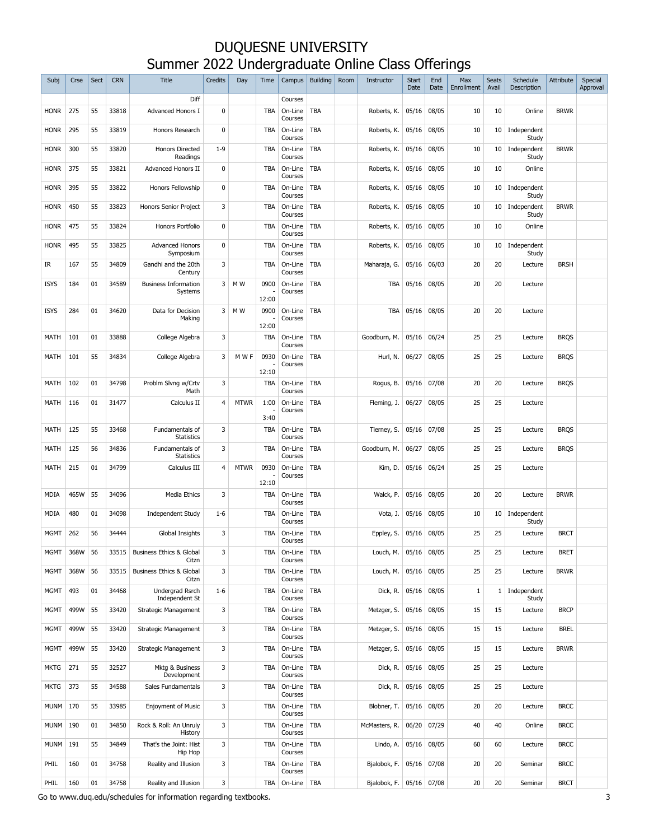| Subj        | Crse | Sect | <b>CRN</b> | <b>Title</b>                           | <b>Credits</b> | Day         | Time                | Campus             | <b>Building</b> | Room | Instructor    | <b>Start</b><br>Date | End<br>Date | Max<br>Enrollment | <b>Seats</b><br>Avail | Schedule<br><b>Description</b> | Attribute   | Special<br>Approval |
|-------------|------|------|------------|----------------------------------------|----------------|-------------|---------------------|--------------------|-----------------|------|---------------|----------------------|-------------|-------------------|-----------------------|--------------------------------|-------------|---------------------|
|             |      |      |            | Diff                                   |                |             |                     | Courses            |                 |      |               |                      |             |                   |                       |                                |             |                     |
| <b>HONR</b> | 275  | 55   | 33818      | <b>Advanced Honors I</b>               | $\mathbf 0$    |             | <b>TBA</b>          | On-Line<br>Courses | <b>TBA</b>      |      | Roberts, K.   | 05/16                | 08/05       | 10                | 10                    | Online                         | <b>BRWR</b> |                     |
| <b>HONR</b> | 295  | 55   | 33819      | Honors Research                        | $\mathbf 0$    |             | <b>TBA</b>          | On-Line<br>Courses | <b>TBA</b>      |      | Roberts, K.   | 05/16                | 08/05       | 10                | 10                    | Independent<br>Study           |             |                     |
| <b>HONR</b> | 300  | 55   | 33820      | <b>Honors Directed</b><br>Readings     | $1 - 9$        |             | <b>TBA</b>          | On-Line<br>Courses | <b>TBA</b>      |      | Roberts, K.   | 05/16                | 08/05       | 10                | 10                    | Independent<br>Study           | <b>BRWR</b> |                     |
| <b>HONR</b> | 375  | 55   | 33821      | Advanced Honors II                     | $\mathbf{0}$   |             | <b>TBA</b>          | On-Line<br>Courses | <b>TBA</b>      |      | Roberts, K.   | 05/16                | 08/05       | 10                | 10                    | Online                         |             |                     |
| <b>HONR</b> | 395  | 55   | 33822      | Honors Fellowship                      | $\mathbf 0$    |             | <b>TBA</b>          | On-Line<br>Courses | <b>TBA</b>      |      | Roberts, K.   | 05/16                | 08/05       | 10                | 10                    | Independent<br>Study           |             |                     |
| <b>HONR</b> | 450  | 55   | 33823      | Honors Senior Project                  | 3              |             | <b>TBA</b>          | On-Line<br>Courses | <b>TBA</b>      |      | Roberts, K.   | 05/16                | 08/05       | 10                | 10                    | Independent<br>Study           | <b>BRWR</b> |                     |
| <b>HONR</b> | 475  | 55   | 33824      | Honors Portfolio                       | $\mathbf 0$    |             | <b>TBA</b>          | On-Line<br>Courses | <b>TBA</b>      |      | Roberts, K.   | 05/16                | 08/05       | 10                | 10                    | Online                         |             |                     |
| <b>HONR</b> | 495  | 55   | 33825      | <b>Advanced Honors</b><br>Symposium    | $\mathbf{0}$   |             | <b>TBA</b>          | On-Line<br>Courses | <b>TBA</b>      |      | Roberts, K.   | 05/16                | 08/05       | 10                | 10                    | Independent<br>Study           |             |                     |
| IR          | 167  | 55   | 34809      | Gandhi and the 20th<br>Century         | 3              |             | <b>TBA</b>          | On-Line<br>Courses | <b>TBA</b>      |      | Maharaja, G.  | 05/16                | 06/03       | 20                | 20                    | Lecture                        | <b>BRSH</b> |                     |
| <b>ISYS</b> | 184  | 01   | 34589      | <b>Business Information</b><br>Systems | 3              | M W         | 0900<br>12:00       | On-Line<br>Courses | <b>TBA</b>      |      | <b>TBA</b>    | 05/16                | 08/05       | 20                | 20                    | Lecture                        |             |                     |
| <b>ISYS</b> | 284  | 01   | 34620      | Data for Decision<br>Making            | 3              | M W         | 0900<br>12:00       | On-Line<br>Courses | <b>TBA</b>      |      | <b>TBA</b>    | 05/16                | 08/05       | 20                | 20                    | Lecture                        |             |                     |
| <b>MATH</b> | 101  | 01   | 33888      | College Algebra                        | 3              |             | <b>TBA</b>          | On-Line<br>Courses | <b>TBA</b>      |      | Goodburn, M.  | 05/16                | 06/24       | 25                | 25                    | Lecture                        | <b>BRQS</b> |                     |
| <b>MATH</b> | 101  | 55   | 34834      | College Algebra                        | 3              | MWF         | 0930<br>12:10       | On-Line<br>Courses | <b>TBA</b>      |      | Hurl, N.      | 06/27                | 08/05       | 25                | 25                    | Lecture                        | <b>BRQS</b> |                     |
| MATH        | 102  | 01   | 34798      | Problm Slvng w/Crtv<br>Math            | 3              |             | <b>TBA</b>          | On-Line<br>Courses | <b>TBA</b>      |      | Rogus, B.     | 05/16                | 07/08       | 20                | 20                    | Lecture                        | <b>BRQS</b> |                     |
| MATH        | 116  | 01   | 31477      | Calculus II                            | 4              | <b>MTWR</b> | 1:00<br>3:40        | On-Line<br>Courses | <b>TBA</b>      |      | Fleming, J.   | 06/27                | 08/05       | 25                | 25                    | Lecture                        |             |                     |
| <b>MATH</b> | 125  | 55   | 33468      | Fundamentals of<br><b>Statistics</b>   | 3              |             | <b>TBA</b>          | On-Line<br>Courses | <b>TBA</b>      |      | Tierney, S.   | 05/16                | 07/08       | 25                | 25                    | Lecture                        | <b>BRQS</b> |                     |
| <b>MATH</b> | 125  | 56   | 34836      | Fundamentals of<br><b>Statistics</b>   | 3              |             | <b>TBA</b>          | On-Line<br>Courses | <b>TBA</b>      |      | Goodburn, M.  | 06/27                | 08/05       | 25                | 25                    | Lecture                        | <b>BRQS</b> |                     |
| <b>MATH</b> | 215  | 01   | 34799      | Calculus III                           | $\overline{4}$ | <b>MTWR</b> | 0930                | On-Line<br>Courses | <b>TBA</b>      |      | Kim, D.       | 05/16                | 06/24       | 25                | 25                    | Lecture                        |             |                     |
| MDIA        | 465W | 55   | 34096      | <b>Media Ethics</b>                    | 3              |             | 12:10<br><b>TBA</b> | On-Line<br>Courses | <b>TBA</b>      |      | Walck, P.     | 05/16                | 08/05       | 20                | 20                    | Lecture                        | <b>BRWR</b> |                     |
| <b>MDIA</b> | 480  | 01   | 34098      | <b>Independent Study</b>               | $1-6$          |             | <b>TBA</b>          | On-Line<br>Courses | <b>TBA</b>      |      | Vota, J.      | 05/16                | 08/05       | 10                | 10                    | Independent<br>Study           |             |                     |
| <b>MGMT</b> | 262  | 56   | 34444      | Global Insights                        | 3              |             | <b>TBA</b>          | On-Line<br>Courses | <b>TBA</b>      |      | Eppley, S.    | 05/16                | 08/05       | 25                | 25                    | Lecture                        | <b>BRCT</b> |                     |
| MGMT        | 368W | 56   | 33515      | Business Ethics & Global<br>Citzn      | 3              |             | <b>TBA</b>          | On-Line<br>Courses | <b>TBA</b>      |      | Louch, M.     | 05/16                | 08/05       | 25                | 25                    | Lecture                        | <b>BRET</b> |                     |
| <b>MGMT</b> | 368W | 56   | 33515      | Business Ethics & Global<br>Citzn      | 3              |             | <b>TBA</b>          | On-Line<br>Courses | <b>TBA</b>      |      | Louch, M.     | 05/16                | 08/05       | 25                | 25                    | Lecture                        | <b>BRWR</b> |                     |
| <b>MGMT</b> | 493  | 01   | 34468      | Undergrad Rsrch<br>Independent St      | $1 - 6$        |             | <b>TBA</b>          | On-Line<br>Courses | <b>TBA</b>      |      | Dick, R.      | 05/16                | 08/05       | $\mathbf{1}$      |                       | 1 Independent<br>Study         |             |                     |
| <b>MGMT</b> | 499W | 55   | 33420      | Strategic Management                   | 3              |             | <b>TBA</b>          | On-Line<br>Courses | <b>TBA</b>      |      | Metzger, S.   | 05/16                | 08/05       | 15                | 15                    | Lecture                        | <b>BRCP</b> |                     |
| <b>MGMT</b> | 499W | 55   | 33420      | Strategic Management                   | 3              |             | <b>TBA</b>          | On-Line<br>Courses | <b>TBA</b>      |      | Metzger, S.   | 05/16                | 08/05       | 15                | 15                    | Lecture                        | <b>BREL</b> |                     |
| <b>MGMT</b> | 499W | 55   | 33420      | Strategic Management                   | 3              |             | <b>TBA</b>          | On-Line<br>Courses | TBA             |      | Metzger, S.   | 05/16                | 08/05       | 15                | 15                    | Lecture                        | <b>BRWR</b> |                     |
| <b>MKTG</b> | 271  | 55   | 32527      | Mktg & Business<br>Development         | 3              |             | <b>TBA</b>          | On-Line<br>Courses | TBA             |      | Dick, R.      | 05/16                | 08/05       | 25                | 25                    | Lecture                        |             |                     |
| <b>MKTG</b> | 373  | 55   | 34588      | Sales Fundamentals                     | 3              |             | <b>TBA</b>          | On-Line<br>Courses | TBA             |      | Dick, R.      | 05/16                | 08/05       | 25                | 25                    | Lecture                        |             |                     |
| <b>MUNM</b> | 170  | 55   | 33985      | <b>Enjoyment of Music</b>              | 3              |             | <b>TBA</b>          | On-Line<br>Courses | TBA             |      | Blobner, T.   | 05/16                | 08/05       | 20                | 20                    | Lecture                        | <b>BRCC</b> |                     |
| <b>MUNM</b> | 190  | 01   | 34850      | Rock & Roll: An Unruly<br>History      | 3              |             | <b>TBA</b>          | On-Line<br>Courses | TBA             |      | McMasters, R. | 06/20                | 07/29       | 40                | 40                    | Online                         | <b>BRCC</b> |                     |
| <b>MUNM</b> | 191  | 55   | 34849      | That's the Joint: Hist<br>Hip Hop      | 3              |             | <b>TBA</b>          | On-Line<br>Courses | TBA             |      | Lindo, A.     | 05/16                | 08/05       | 60                | 60                    | Lecture                        | <b>BRCC</b> |                     |
| PHIL        | 160  | 01   | 34758      | Reality and Illusion                   | 3              |             | <b>TBA</b>          | On-Line<br>Courses | TBA             |      | Bjalobok, F.  | 05/16                | 07/08       | 20                | 20                    | Seminar                        | <b>BRCC</b> |                     |
| PHIL        | 160  | 01   | 34758      | Reality and Illusion                   | 3              |             |                     | TBA On-Line        | TBA             |      | Bjalobok, F.  | 05/16                | 07/08       | 20                | 20                    | Seminar                        | <b>BRCT</b> |                     |

Go to www.duq.edu/schedules for information regarding textbooks. 33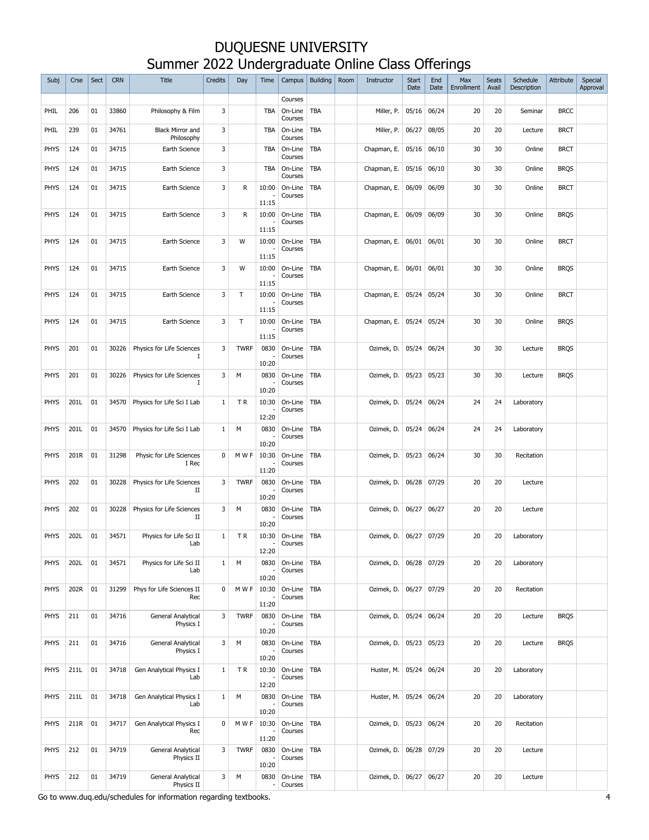| Subj        | Crse | Sect | <b>CRN</b> | <b>Title</b>                          | <b>Credits</b> | Day          | Time                     | Campus             | <b>Building</b> | Room | Instructor  | <b>Start</b><br>Date | End<br>Date | Max<br>Enrollment | <b>Seats</b><br>Avail | Schedule<br>Description | Attribute   | Special<br>Approval |
|-------------|------|------|------------|---------------------------------------|----------------|--------------|--------------------------|--------------------|-----------------|------|-------------|----------------------|-------------|-------------------|-----------------------|-------------------------|-------------|---------------------|
|             |      |      |            |                                       |                |              |                          | Courses            |                 |      |             |                      |             |                   |                       |                         |             |                     |
| PHIL        | 206  | 01   | 33860      | Philosophy & Film                     | 3              |              | <b>TBA</b>               | On-Line<br>Courses | TBA             |      | Miller, P.  | 05/16                | 06/24       | 20                | 20                    | Seminar                 | <b>BRCC</b> |                     |
| PHIL        | 239  | 01   | 34761      | <b>Black Mirror and</b><br>Philosophy | 3              |              | <b>TBA</b>               | On-Line<br>Courses | TBA             |      | Miller, P.  | 06/27                | 08/05       | 20                | 20                    | Lecture                 | <b>BRCT</b> |                     |
| <b>PHYS</b> | 124  | 01   | 34715      | Earth Science                         | 3              |              | <b>TBA</b>               | On-Line<br>Courses | TBA             |      | Chapman, E. | 05/16                | 06/10       | 30                | 30                    | Online                  | <b>BRCT</b> |                     |
| <b>PHYS</b> | 124  | 01   | 34715      | Earth Science                         | 3              |              | <b>TBA</b>               | On-Line<br>Courses | <b>TBA</b>      |      | Chapman, E. | 05/16                | 06/10       | 30                | 30                    | Online                  | <b>BRQS</b> |                     |
| PHYS        | 124  | 01   | 34715      | Earth Science                         | 3              | R            | 10:00                    | On-Line<br>Courses | <b>TBA</b>      |      | Chapman, E. | 06/09                | 06/09       | 30                | 30                    | Online                  | <b>BRCT</b> |                     |
|             |      |      |            |                                       |                |              | 11:15                    |                    |                 |      |             |                      |             |                   |                       |                         |             |                     |
| PHYS        | 124  | 01   | 34715      | Earth Science                         | 3              | R            | 10:00                    | On-Line<br>Courses | TBA             |      | Chapman, E. | 06/09                | 06/09       | 30                | 30                    | Online                  | <b>BRQS</b> |                     |
| <b>PHYS</b> | 124  | 01   | 34715      | Earth Science                         | 3              | W            | 11:15<br>10:00           | On-Line            | TBA             |      | Chapman, E. | 06/01                | 06/01       | 30                | 30                    | Online                  | <b>BRCT</b> |                     |
|             |      |      |            |                                       |                |              | 11:15                    | Courses            |                 |      |             |                      |             |                   |                       |                         |             |                     |
| <b>PHYS</b> | 124  | 01   | 34715      | Earth Science                         | 3              | W            | 10:00<br>11:15           | On-Line<br>Courses | TBA             |      | Chapman, E. | 06/01                | 06/01       | 30                | 30                    | Online                  | <b>BRQS</b> |                     |
| <b>PHYS</b> | 124  | 01   | 34715      | Earth Science                         | 3              | $\mathsf{T}$ | 10:00                    | On-Line            | <b>TBA</b>      |      | Chapman, E. | 05/24                | 05/24       | 30                | 30                    | Online                  | <b>BRCT</b> |                     |
|             |      |      |            |                                       |                |              | 11:15                    | Courses            |                 |      |             |                      |             |                   |                       |                         |             |                     |
| <b>PHYS</b> | 124  | 01   | 34715      | Earth Science                         | 3              | $\mathsf{T}$ | 10:00<br>11:15           | On-Line<br>Courses | <b>TBA</b>      |      | Chapman, E. | 05/24                | 05/24       | 30                | 30                    | Online                  | <b>BRQS</b> |                     |
| <b>PHYS</b> | 201  | 01   | 30226      | Physics for Life Sciences<br>П        | 3              | <b>TWRF</b>  | 0830                     | On-Line<br>Courses | <b>TBA</b>      |      | Ozimek, D.  | 05/24                | 06/24       | 30                | 30                    | Lecture                 | <b>BRQS</b> |                     |
|             |      |      |            |                                       |                |              | 10:20                    |                    |                 |      |             |                      |             |                   |                       |                         |             |                     |
| <b>PHYS</b> | 201  | 01   | 30226      | Physics for Life Sciences             | 3              | М            | 0830<br>10:20            | On-Line<br>Courses | <b>TBA</b>      |      | Ozimek, D.  | 05/23                | 05/23       | 30                | 30                    | Lecture                 | <b>BRQS</b> |                     |
| <b>PHYS</b> | 201L | 01   | 34570      | Physics for Life Sci I Lab            | 1              | ΤR           | 10:30                    | On-Line            | TBA             |      | Ozimek, D.  | 05/24                | 06/24       | 24                | 24                    | Laboratory              |             |                     |
|             |      |      |            |                                       |                |              | 12:20                    | Courses            |                 |      |             |                      |             |                   |                       |                         |             |                     |
| <b>PHYS</b> | 201L | 01   | 34570      | Physics for Life Sci I Lab            | 1              | М            | 0830                     | On-Line<br>Courses | <b>TBA</b>      |      | Ozimek, D.  | 05/24                | 06/24       | 24                | 24                    | Laboratory              |             |                     |
| <b>PHYS</b> | 201R | 01   | 31298      | Physic for Life Sciences              | 0              | M W F        | 10:20<br>10:30           | On-Line            | <b>TBA</b>      |      | Ozimek, D.  | 05/23                | 06/24       | 30                | 30                    | Recitation              |             |                     |
|             |      |      |            | I Rec                                 |                |              | 11:20                    | Courses            |                 |      |             |                      |             |                   |                       |                         |             |                     |
| PHYS        | 202  | 01   | 30228      | Physics for Life Sciences<br>П        | 3              | <b>TWRF</b>  | 0830                     | On-Line<br>Courses | <b>TBA</b>      |      | Ozimek, D.  | 06/28                | 07/29       | 20                | 20                    | Lecture                 |             |                     |
|             |      |      |            |                                       |                |              | 10:20                    |                    |                 |      |             |                      |             |                   |                       |                         |             |                     |
| <b>PHYS</b> | 202  | 01   | 30228      | Physics for Life Sciences<br>П        | 3              | M            | 0830<br>10:20            | On-Line<br>Courses | <b>TBA</b>      |      | Ozimek, D.  | 06/27                | 06/27       | 20                | 20                    | Lecture                 |             |                     |
| <b>PHYS</b> | 202L | 01   | 34571      | Physics for Life Sci II<br>Lab        | $\mathbf{1}$   | <b>TR</b>    | 10:30<br>٠               | On-Line<br>Courses | <b>TBA</b>      |      | Ozimek, D.  | 06/27                | 07/29       | 20                | 20                    | Laboratory              |             |                     |
| <b>PHYS</b> | 202L | 01   | 34571      | Physics for Life Sci II               | $\mathbf{1}$   | M            | 12:20<br>0830            | On-Line            | <b>TBA</b>      |      | Ozimek, D.  | 06/28                | 07/29       | 20                | 20                    |                         |             |                     |
|             |      |      |            | Lab                                   |                |              | 10:20                    | Courses            |                 |      |             |                      |             |                   |                       | Laboratory              |             |                     |
| PHYS        | 202R | 01   | 31299      | Phys for Life Sciences II<br>Rec      | 0              | M W F        | 10:30                    | On-Line<br>Courses | <b>TBA</b>      |      | Ozimek, D.  | 06/27                | 07/29       | 20                | 20                    | Recitation              |             |                     |
| <b>PHYS</b> | 211  | 01   | 34716      | General Analytical                    | 3              | <b>TWRF</b>  | 11:20<br>0830            | On-Line            | <b>TBA</b>      |      | Ozimek, D.  | 05/24                | 06/24       | 20                | 20                    | Lecture                 | <b>BRQS</b> |                     |
|             |      |      |            | Physics I                             |                |              | 10:20                    | Courses            |                 |      |             |                      |             |                   |                       |                         |             |                     |
| <b>PHYS</b> | 211  | 01   | 34716      | General Analytical<br>Physics I       | 3              | M            | 0830                     | On-Line<br>Courses | TBA             |      | Ozimek, D.  | 05/23                | 05/23       | 20                | 20                    | Lecture                 | <b>BRQS</b> |                     |
| <b>PHYS</b> | 211L | 01   | 34718      | Gen Analytical Physics I              | $\mathbf{1}$   | TR           | 10:20<br>10:30           | On-Line            | <b>TBA</b>      |      | Huster, M.  | 05/24                | 06/24       | 20                | 20                    | Laboratory              |             |                     |
|             |      |      |            | Lab                                   |                |              | 12:20                    | Courses            |                 |      |             |                      |             |                   |                       |                         |             |                     |
| <b>PHYS</b> | 211L | 01   | 34718      | Gen Analytical Physics I<br>Lab       | $\mathbf{1}$   | М            | 0830<br>10:20            | On-Line<br>Courses | <b>TBA</b>      |      | Huster, M.  | 05/24                | 06/24       | 20                | 20                    | Laboratory              |             |                     |
| PHYS        | 211R | 01   | 34717      | Gen Analytical Physics I              | 0              | M W F        | 10:30                    | On-Line            | <b>TBA</b>      |      | Ozimek, D.  | 05/23                | 06/24       | 20                | 20                    | Recitation              |             |                     |
|             |      |      |            | Rec                                   |                |              | 11:20                    | Courses            |                 |      |             |                      |             |                   |                       |                         |             |                     |
| <b>PHYS</b> | 212  | 01   | 34719      | General Analytical<br>Physics II      | 3              | <b>TWRF</b>  | 0830                     | On-Line<br>Courses | <b>TBA</b>      |      | Ozimek, D.  | 06/28                | 07/29       | 20                | 20                    | Lecture                 |             |                     |
| <b>PHYS</b> | 212  | 01   | 34719      | General Analytical                    | 3              | М            | 10:20<br>0830            | On-Line            | <b>TBA</b>      |      | Ozimek, D.  | 06/27                | 06/27       | 20                | 20                    | Lecture                 |             |                     |
|             |      |      |            | Physics II                            |                |              | $\overline{\phantom{a}}$ | Courses            |                 |      |             |                      |             |                   |                       |                         |             |                     |

Go to www.duq.edu/schedules for information regarding textbooks. 4